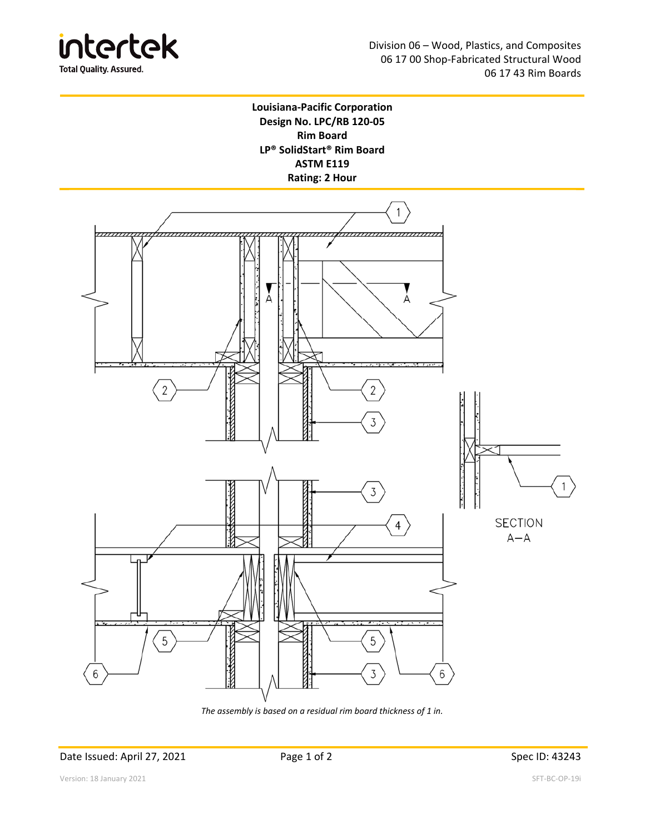

## **Louisiana‐Pacific Corporation Design No. LPC/RB 120‐05 Rim Board LP® SolidStart® Rim Board ASTM E119 Rating: 2 Hour**



*The assembly is based on a residual rim board thickness of 1 in.* 

Date Issued: April 27, 2021 **Page 1 of 2** Page 1 of 2 Spec ID: 43243